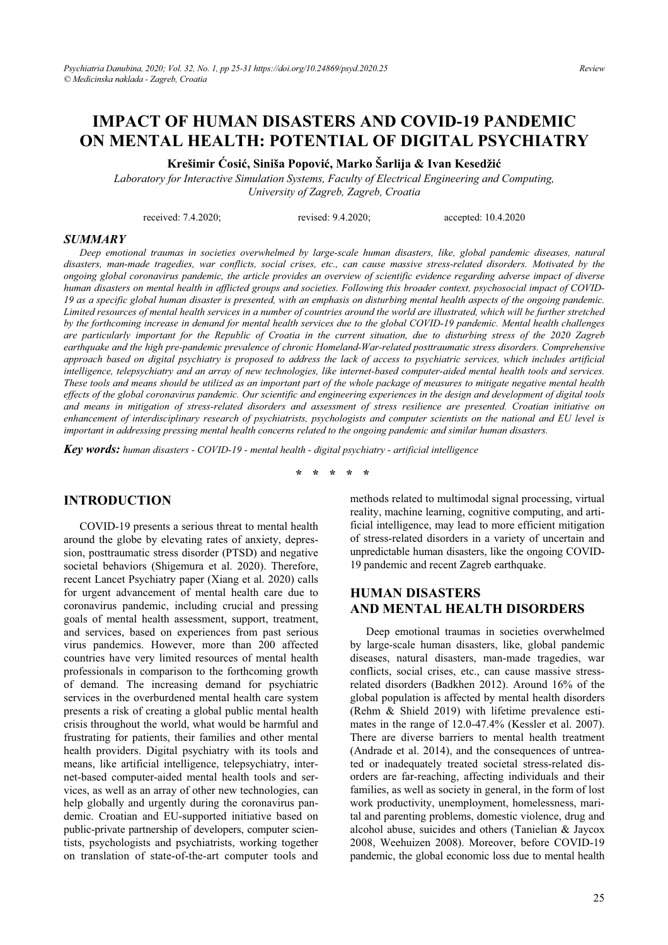# **IMPACT OF HUMAN DISASTERS AND COVID-19 PANDEMIC ON MENTAL HEALTH: POTENTIAL OF DIGITAL PSYCHIATRY**

**Krešimir ûosiü, Siniša Popoviü, Marko Šarlija & Ivan Kesedžiü**

*Laboratory for Interactive Simulation Systems, Faculty of Electrical Engineering and Computing, University of Zagreb, Zagreb, Croatia* 

received: 7.4.2020; revised: 9.4.2020; accepted: 10.4.2020

#### *SUMMARY*

*Deep emotional traumas in societies overwhelmed by large-scale human disasters, like, global pandemic diseases, natural disasters, man-made tragedies, war conflicts, social crises, etc., can cause massive stress-related disorders. Motivated by the ongoing global coronavirus pandemic, the article provides an overview of scientific evidence regarding adverse impact of diverse human disasters on mental health in afflicted groups and societies. Following this broader context, psychosocial impact of COVID-19 as a specific global human disaster is presented, with an emphasis on disturbing mental health aspects of the ongoing pandemic. Limited resources of mental health services in a number of countries around the world are illustrated, which will be further stretched by the forthcoming increase in demand for mental health services due to the global COVID-19 pandemic. Mental health challenges are particularly important for the Republic of Croatia in the current situation, due to disturbing stress of the 2020 Zagreb earthquake and the high pre-pandemic prevalence of chronic Homeland-War-related posttraumatic stress disorders. Comprehensive approach based on digital psychiatry is proposed to address the lack of access to psychiatric services, which includes artificial intelligence, telepsychiatry and an array of new technologies, like internet-based computer-aided mental health tools and services. These tools and means should be utilized as an important part of the whole package of measures to mitigate negative mental health effects of the global coronavirus pandemic. Our scientific and engineering experiences in the design and development of digital tools and means in mitigation of stress-related disorders and assessment of stress resilience are presented. Croatian initiative on enhancement of interdisciplinary research of psychiatrists, psychologists and computer scientists on the national and EU level is important in addressing pressing mental health concerns related to the ongoing pandemic and similar human disasters.* 

*Key words: human disasters - COVID-19 - mental health - digital psychiatry - artificial intelligence* 

**\* \* \* \* \*** 

### **INTRODUCTION**

COVID-19 presents a serious threat to mental health around the globe by elevating rates of anxiety, depression, posttraumatic stress disorder (PTSD) and negative societal behaviors (Shigemura et al. 2020). Therefore, recent Lancet Psychiatry paper (Xiang et al. 2020) calls for urgent advancement of mental health care due to coronavirus pandemic, including crucial and pressing goals of mental health assessment, support, treatment, and services, based on experiences from past serious virus pandemics. However, more than 200 affected countries have very limited resources of mental health professionals in comparison to the forthcoming growth of demand. The increasing demand for psychiatric services in the overburdened mental health care system presents a risk of creating a global public mental health crisis throughout the world, what would be harmful and frustrating for patients, their families and other mental health providers. Digital psychiatry with its tools and means, like artificial intelligence, telepsychiatry, internet-based computer-aided mental health tools and services, as well as an array of other new technologies, can help globally and urgently during the coronavirus pandemic. Croatian and EU-supported initiative based on public-private partnership of developers, computer scientists, psychologists and psychiatrists, working together on translation of state-of-the-art computer tools and

methods related to multimodal signal processing, virtual reality, machine learning, cognitive computing, and artificial intelligence, may lead to more efficient mitigation of stress-related disorders in a variety of uncertain and unpredictable human disasters, like the ongoing COVID-19 pandemic and recent Zagreb earthquake.

### **HUMAN DISASTERS AND MENTAL HEALTH DISORDERS**

Deep emotional traumas in societies overwhelmed by large-scale human disasters, like, global pandemic diseases, natural disasters, man-made tragedies, war conflicts, social crises, etc., can cause massive stressrelated disorders (Badkhen 2012). Around 16% of the global population is affected by mental health disorders (Rehm & Shield 2019) with lifetime prevalence estimates in the range of 12.0-47.4% (Kessler et al. 2007). There are diverse barriers to mental health treatment (Andrade et al. 2014), and the consequences of untreated or inadequately treated societal stress-related disorders are far-reaching, affecting individuals and their families, as well as society in general, in the form of lost work productivity, unemployment, homelessness, marital and parenting problems, domestic violence, drug and alcohol abuse, suicides and others (Tanielian & Jaycox 2008, Weehuizen 2008). Moreover, before COVID-19 pandemic, the global economic loss due to mental health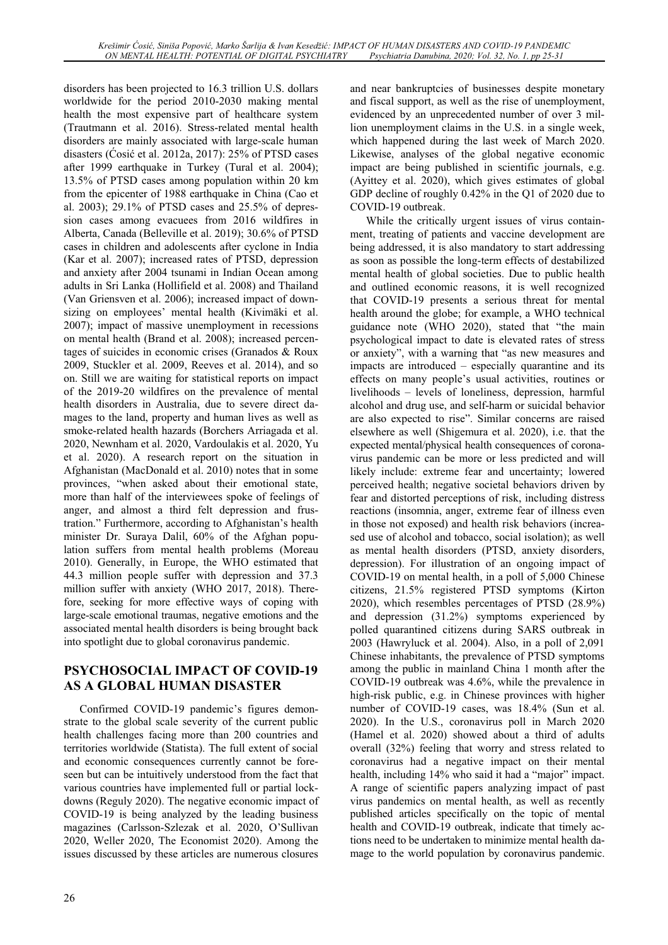disorders has been projected to 16.3 trillion U.S. dollars worldwide for the period 2010-2030 making mental health the most expensive part of healthcare system (Trautmann et al. 2016). Stress-related mental health disorders are mainly associated with large-scale human disasters (Cosic et al. 2012a, 2017): 25% of PTSD cases after 1999 earthquake in Turkey (Tural et al. 2004); 13.5% of PTSD cases among population within 20 km from the epicenter of 1988 earthquake in China (Cao et al. 2003); 29.1% of PTSD cases and 25.5% of depression cases among evacuees from 2016 wildfires in Alberta, Canada (Belleville et al. 2019); 30.6% of PTSD cases in children and adolescents after cyclone in India (Kar et al. 2007); increased rates of PTSD, depression and anxiety after 2004 tsunami in Indian Ocean among adults in Sri Lanka (Hollifield et al. 2008) and Thailand (Van Griensven et al. 2006); increased impact of downsizing on employees' mental health (Kivimäki et al. 2007); impact of massive unemployment in recessions on mental health (Brand et al. 2008); increased percentages of suicides in economic crises (Granados & Roux 2009, Stuckler et al. 2009, Reeves et al. 2014), and so on. Still we are waiting for statistical reports on impact of the 2019-20 wildfires on the prevalence of mental health disorders in Australia, due to severe direct damages to the land, property and human lives as well as smoke-related health hazards (Borchers Arriagada et al. 2020, Newnham et al. 2020, Vardoulakis et al. 2020, Yu et al. 2020). A research report on the situation in Afghanistan (MacDonald et al. 2010) notes that in some provinces, "when asked about their emotional state, more than half of the interviewees spoke of feelings of anger, and almost a third felt depression and frustration." Furthermore, according to Afghanistan's health minister Dr. Suraya Dalil, 60% of the Afghan population suffers from mental health problems (Moreau 2010). Generally, in Europe, the WHO estimated that 44.3 million people suffer with depression and 37.3 million suffer with anxiety (WHO 2017, 2018). Therefore, seeking for more effective ways of coping with large-scale emotional traumas, negative emotions and the associated mental health disorders is being brought back into spotlight due to global coronavirus pandemic.

### **PSYCHOSOCIAL IMPACT OF COVID-19 AS A GLOBAL HUMAN DISASTER**

Confirmed COVID-19 pandemic's figures demonstrate to the global scale severity of the current public health challenges facing more than 200 countries and territories worldwide (Statista). The full extent of social and economic consequences currently cannot be foreseen but can be intuitively understood from the fact that various countries have implemented full or partial lockdowns (Reguly 2020). The negative economic impact of COVID-19 is being analyzed by the leading business magazines (Carlsson-Szlezak et al. 2020, O'Sullivan 2020, Weller 2020, The Economist 2020). Among the issues discussed by these articles are numerous closures

and near bankruptcies of businesses despite monetary and fiscal support, as well as the rise of unemployment, evidenced by an unprecedented number of over 3 million unemployment claims in the U.S. in a single week, which happened during the last week of March 2020. Likewise, analyses of the global negative economic impact are being published in scientific journals, e.g. (Ayittey et al. 2020), which gives estimates of global GDP decline of roughly 0.42% in the Q1 of 2020 due to COVID-19 outbreak.

While the critically urgent issues of virus containment, treating of patients and vaccine development are being addressed, it is also mandatory to start addressing as soon as possible the long-term effects of destabilized mental health of global societies. Due to public health and outlined economic reasons, it is well recognized that COVID-19 presents a serious threat for mental health around the globe; for example, a WHO technical guidance note (WHO 2020), stated that "the main psychological impact to date is elevated rates of stress or anxiety", with a warning that "as new measures and impacts are introduced – especially quarantine and its effects on many people's usual activities, routines or livelihoods – levels of loneliness, depression, harmful alcohol and drug use, and self-harm or suicidal behavior are also expected to rise". Similar concerns are raised elsewhere as well (Shigemura et al. 2020), i.e. that the expected mental/physical health consequences of coronavirus pandemic can be more or less predicted and will likely include: extreme fear and uncertainty; lowered perceived health; negative societal behaviors driven by fear and distorted perceptions of risk, including distress reactions (insomnia, anger, extreme fear of illness even in those not exposed) and health risk behaviors (increased use of alcohol and tobacco, social isolation); as well as mental health disorders (PTSD, anxiety disorders, depression). For illustration of an ongoing impact of COVID-19 on mental health, in a poll of 5,000 Chinese citizens, 21.5% registered PTSD symptoms (Kirton 2020), which resembles percentages of PTSD (28.9%) and depression (31.2%) symptoms experienced by polled quarantined citizens during SARS outbreak in 2003 (Hawryluck et al. 2004). Also, in a poll of 2,091 Chinese inhabitants, the prevalence of PTSD symptoms among the public in mainland China 1 month after the COVID-19 outbreak was 4.6%, while the prevalence in high-risk public, e.g. in Chinese provinces with higher number of COVID-19 cases, was 18.4% (Sun et al. 2020). In the U.S., coronavirus poll in March 2020 (Hamel et al. 2020) showed about a third of adults overall (32%) feeling that worry and stress related to coronavirus had a negative impact on their mental health, including 14% who said it had a "major" impact. A range of scientific papers analyzing impact of past virus pandemics on mental health, as well as recently published articles specifically on the topic of mental health and COVID-19 outbreak, indicate that timely actions need to be undertaken to minimize mental health damage to the world population by coronavirus pandemic.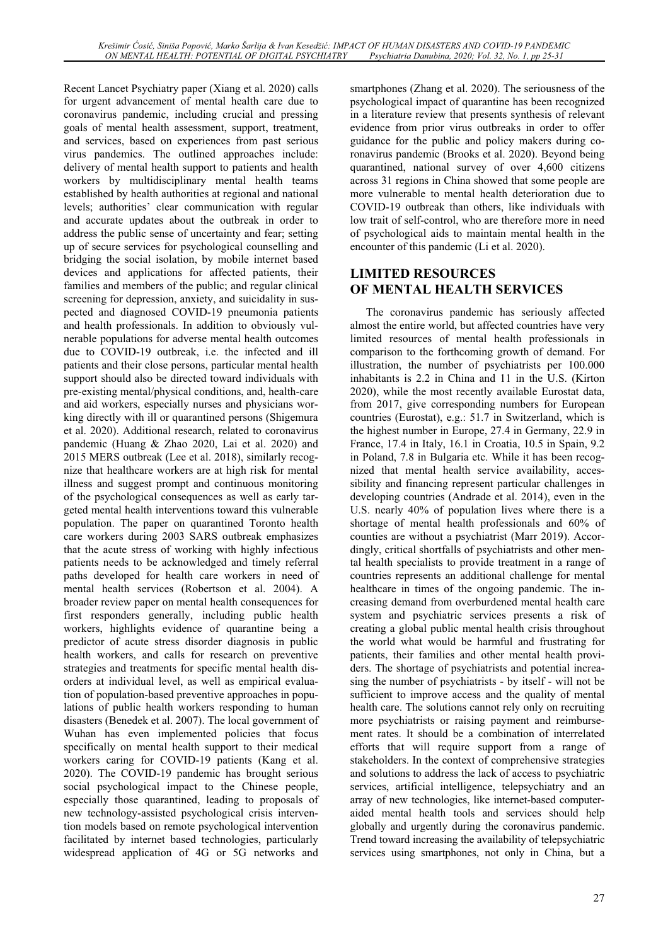Recent Lancet Psychiatry paper (Xiang et al. 2020) calls for urgent advancement of mental health care due to coronavirus pandemic, including crucial and pressing goals of mental health assessment, support, treatment, and services, based on experiences from past serious virus pandemics. The outlined approaches include: delivery of mental health support to patients and health workers by multidisciplinary mental health teams established by health authorities at regional and national levels; authorities' clear communication with regular and accurate updates about the outbreak in order to address the public sense of uncertainty and fear; setting up of secure services for psychological counselling and bridging the social isolation, by mobile internet based devices and applications for affected patients, their families and members of the public; and regular clinical screening for depression, anxiety, and suicidality in suspected and diagnosed COVID-19 pneumonia patients and health professionals. In addition to obviously vulnerable populations for adverse mental health outcomes due to COVID-19 outbreak, i.e. the infected and ill patients and their close persons, particular mental health support should also be directed toward individuals with pre-existing mental/physical conditions, and, health-care and aid workers, especially nurses and physicians working directly with ill or quarantined persons (Shigemura et al. 2020). Additional research, related to coronavirus pandemic (Huang & Zhao 2020, Lai et al. 2020) and 2015 MERS outbreak (Lee et al. 2018), similarly recognize that healthcare workers are at high risk for mental illness and suggest prompt and continuous monitoring of the psychological consequences as well as early targeted mental health interventions toward this vulnerable population. The paper on quarantined Toronto health care workers during 2003 SARS outbreak emphasizes that the acute stress of working with highly infectious patients needs to be acknowledged and timely referral paths developed for health care workers in need of mental health services (Robertson et al. 2004). A broader review paper on mental health consequences for first responders generally, including public health workers, highlights evidence of quarantine being a predictor of acute stress disorder diagnosis in public health workers, and calls for research on preventive strategies and treatments for specific mental health disorders at individual level, as well as empirical evaluation of population-based preventive approaches in populations of public health workers responding to human disasters (Benedek et al. 2007). The local government of Wuhan has even implemented policies that focus specifically on mental health support to their medical workers caring for COVID-19 patients (Kang et al. 2020). The COVID-19 pandemic has brought serious social psychological impact to the Chinese people, especially those quarantined, leading to proposals of new technology-assisted psychological crisis intervention models based on remote psychological intervention facilitated by internet based technologies, particularly widespread application of 4G or 5G networks and

smartphones (Zhang et al. 2020). The seriousness of the psychological impact of quarantine has been recognized in a literature review that presents synthesis of relevant evidence from prior virus outbreaks in order to offer guidance for the public and policy makers during coronavirus pandemic (Brooks et al. 2020). Beyond being quarantined, national survey of over 4,600 citizens across 31 regions in China showed that some people are more vulnerable to mental health deterioration due to COVID-19 outbreak than others, like individuals with low trait of self-control, who are therefore more in need of psychological aids to maintain mental health in the encounter of this pandemic (Li et al. 2020).

### **LIMITED RESOURCES OF MENTAL HEALTH SERVICES**

The coronavirus pandemic has seriously affected almost the entire world, but affected countries have very limited resources of mental health professionals in comparison to the forthcoming growth of demand. For illustration, the number of psychiatrists per 100.000 inhabitants is 2.2 in China and 11 in the U.S. (Kirton 2020), while the most recently available Eurostat data, from 2017, give corresponding numbers for European countries (Eurostat), e.g.: 51.7 in Switzerland, which is the highest number in Europe, 27.4 in Germany, 22.9 in France, 17.4 in Italy, 16.1 in Croatia, 10.5 in Spain, 9.2 in Poland, 7.8 in Bulgaria etc. While it has been recognized that mental health service availability, accessibility and financing represent particular challenges in developing countries (Andrade et al. 2014), even in the U.S. nearly 40% of population lives where there is a shortage of mental health professionals and 60% of counties are without a psychiatrist (Marr 2019). Accordingly, critical shortfalls of psychiatrists and other mental health specialists to provide treatment in a range of countries represents an additional challenge for mental healthcare in times of the ongoing pandemic. The increasing demand from overburdened mental health care system and psychiatric services presents a risk of creating a global public mental health crisis throughout the world what would be harmful and frustrating for patients, their families and other mental health providers. The shortage of psychiatrists and potential increasing the number of psychiatrists - by itself - will not be sufficient to improve access and the quality of mental health care. The solutions cannot rely only on recruiting more psychiatrists or raising payment and reimbursement rates. It should be a combination of interrelated efforts that will require support from a range of stakeholders. In the context of comprehensive strategies and solutions to address the lack of access to psychiatric services, artificial intelligence, telepsychiatry and an array of new technologies, like internet-based computeraided mental health tools and services should help globally and urgently during the coronavirus pandemic. Trend toward increasing the availability of telepsychiatric services using smartphones, not only in China, but a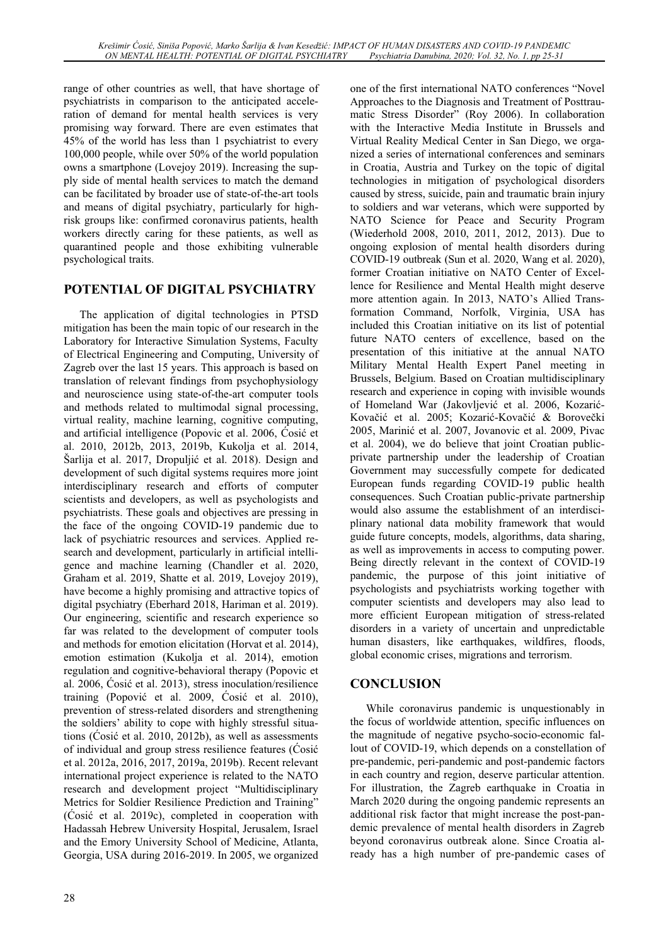range of other countries as well, that have shortage of psychiatrists in comparison to the anticipated acceleration of demand for mental health services is very promising way forward. There are even estimates that 45% of the world has less than 1 psychiatrist to every 100,000 people, while over 50% of the world population owns a smartphone (Lovejoy 2019). Increasing the supply side of mental health services to match the demand can be facilitated by broader use of state-of-the-art tools and means of digital psychiatry, particularly for highrisk groups like: confirmed coronavirus patients, health workers directly caring for these patients, as well as quarantined people and those exhibiting vulnerable psychological traits.

## **POTENTIAL OF DIGITAL PSYCHIATRY**

The application of digital technologies in PTSD mitigation has been the main topic of our research in the Laboratory for Interactive Simulation Systems, Faculty of Electrical Engineering and Computing, University of Zagreb over the last 15 years. This approach is based on translation of relevant findings from psychophysiology and neuroscience using state-of-the-art computer tools and methods related to multimodal signal processing, virtual reality, machine learning, cognitive computing, and artificial intelligence (Popovic et al. 2006, Cosić et al. 2010, 2012b, 2013, 2019b, Kukolja et al. 2014, Šarlija et al. 2017, Dropuljić et al. 2018). Design and development of such digital systems requires more joint interdisciplinary research and efforts of computer scientists and developers, as well as psychologists and psychiatrists. These goals and objectives are pressing in the face of the ongoing COVID-19 pandemic due to lack of psychiatric resources and services. Applied research and development, particularly in artificial intelligence and machine learning (Chandler et al. 2020, Graham et al. 2019, Shatte et al. 2019, Lovejoy 2019), have become a highly promising and attractive topics of digital psychiatry (Eberhard 2018, Hariman et al. 2019). Our engineering, scientific and research experience so far was related to the development of computer tools and methods for emotion elicitation (Horvat et al. 2014), emotion estimation (Kukolja et al. 2014), emotion regulation and cognitive-behavioral therapy (Popovic et al. 2006, Ćosić et al. 2013), stress inoculation/resilience training (Popović et al. 2009, Ćosić et al. 2010), prevention of stress-related disorders and strengthening the soldiers' ability to cope with highly stressful situations ( $\dot{C}$ osić et al. 2010, 2012b), as well as assessments of individual and group stress resilience features (Cosić et al. 2012a, 2016, 2017, 2019a, 2019b). Recent relevant international project experience is related to the NATO research and development project "Multidisciplinary Metrics for Soldier Resilience Prediction and Training" (Cosić et al. 2019c), completed in cooperation with Hadassah Hebrew University Hospital, Jerusalem, Israel and the Emory University School of Medicine, Atlanta, Georgia, USA during 2016-2019. In 2005, we organized one of the first international NATO conferences "Novel Approaches to the Diagnosis and Treatment of Posttraumatic Stress Disorder" (Roy 2006). In collaboration with the Interactive Media Institute in Brussels and Virtual Reality Medical Center in San Diego, we organized a series of international conferences and seminars in Croatia, Austria and Turkey on the topic of digital technologies in mitigation of psychological disorders caused by stress, suicide, pain and traumatic brain injury to soldiers and war veterans, which were supported by NATO Science for Peace and Security Program (Wiederhold 2008, 2010, 2011, 2012, 2013). Due to ongoing explosion of mental health disorders during COVID-19 outbreak (Sun et al. 2020, Wang et al. 2020), former Croatian initiative on NATO Center of Excellence for Resilience and Mental Health might deserve more attention again. In 2013, NATO's Allied Transformation Command, Norfolk, Virginia, USA has included this Croatian initiative on its list of potential future NATO centers of excellence, based on the presentation of this initiative at the annual NATO Military Mental Health Expert Panel meeting in Brussels, Belgium. Based on Croatian multidisciplinary research and experience in coping with invisible wounds of Homeland War (Jakovljević et al. 2006, Kozarić-Kovačić et al. 2005; Kozarić-Kovačić & Borovečki 2005, Marinić et al. 2007, Jovanovic et al. 2009, Pivac et al. 2004), we do believe that joint Croatian publicprivate partnership under the leadership of Croatian Government may successfully compete for dedicated European funds regarding COVID-19 public health consequences. Such Croatian public-private partnership would also assume the establishment of an interdisciplinary national data mobility framework that would guide future concepts, models, algorithms, data sharing, as well as improvements in access to computing power. Being directly relevant in the context of COVID-19 pandemic, the purpose of this joint initiative of psychologists and psychiatrists working together with computer scientists and developers may also lead to more efficient European mitigation of stress-related disorders in a variety of uncertain and unpredictable human disasters, like earthquakes, wildfires, floods, global economic crises, migrations and terrorism.

### **CONCLUSION**

While coronavirus pandemic is unquestionably in the focus of worldwide attention, specific influences on the magnitude of negative psycho-socio-economic fallout of COVID-19, which depends on a constellation of pre-pandemic, peri-pandemic and post-pandemic factors in each country and region, deserve particular attention. For illustration, the Zagreb earthquake in Croatia in March 2020 during the ongoing pandemic represents an additional risk factor that might increase the post-pandemic prevalence of mental health disorders in Zagreb beyond coronavirus outbreak alone. Since Croatia already has a high number of pre-pandemic cases of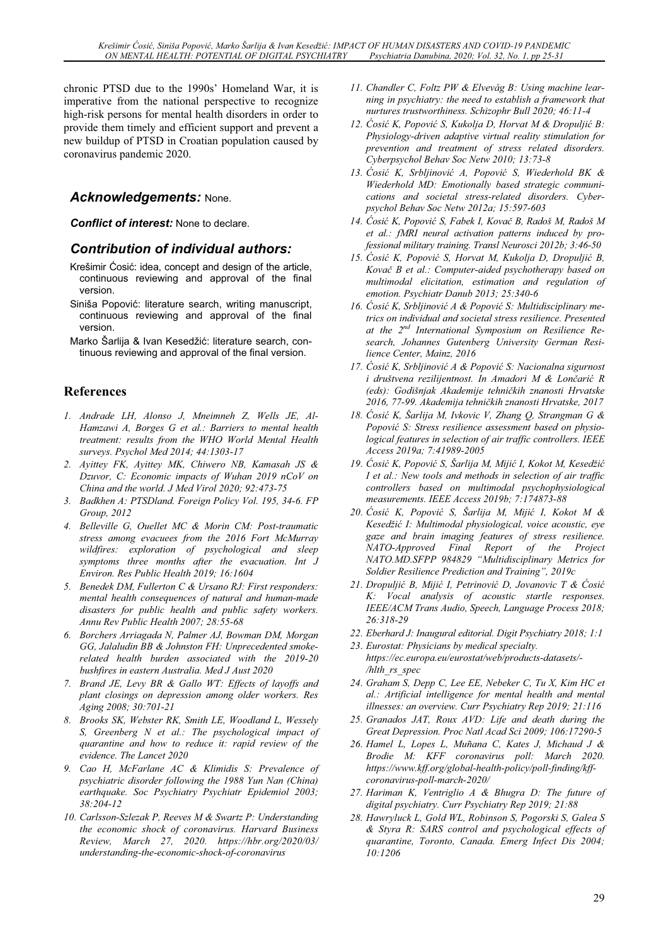chronic PTSD due to the 1990s' Homeland War, it is imperative from the national perspective to recognize high-risk persons for mental health disorders in order to provide them timely and efficient support and prevent a new buildup of PTSD in Croatian population caused by coronavirus pandemic 2020.

### *Acknowledgements:* None.

*Conflict of interest:* None to declare.

### *Contribution of individual authors:*

- Krešimir Ćosić: idea, concept and design of the article. continuous reviewing and approval of the final version.
- Siniša Popović: literature search, writing manuscript, continuous reviewing and approval of the final version.
- Marko Šarlija & Ivan Kesedžić: literature search, continuous reviewing and approval of the final version.

### **References**

- *1. Andrade LH, Alonso J, Mneimneh Z, Wells JE, Al-Hamzawi A, Borges G et al.: Barriers to mental health treatment: results from the WHO World Mental Health surveys. Psychol Med 2014; 44:1303-17*
- *2. Ayittey FK, Ayittey MK, Chiwero NB, Kamasah JS & Dzuvor, C: Economic impacts of Wuhan 2019 nCoV on China and the world. J Med Virol 2020; 92:473-75*
- *3. Badkhen A: PTSDland. Foreign Policy Vol. 195, 34-6. FP Group, 2012*
- *4. Belleville G, Ouellet MC & Morin CM: Post-traumatic stress among evacuees from the 2016 Fort McMurray wildfires: exploration of psychological and sleep symptoms three months after the evacuation. Int J Environ. Res Public Health 2019; 16:1604*
- *5. Benedek DM, Fullerton C & Ursano RJ: First responders: mental health consequences of natural and human-made disasters for public health and public safety workers. Annu Rev Public Health 2007; 28:55-68*
- *6. Borchers Arriagada N, Palmer AJ, Bowman DM, Morgan GG, Jalaludin BB & Johnston FH: Unprecedented smokerelated health burden associated with the 2019-20 bushfires in eastern Australia. Med J Aust 2020*
- *7. Brand JE, Levy BR & Gallo WT: Effects of layoffs and plant closings on depression among older workers. Res Aging 2008; 30:701-21*
- *8. Brooks SK, Webster RK, Smith LE, Woodland L, Wessely S, Greenberg N et al.: The psychological impact of quarantine and how to reduce it: rapid review of the evidence. The Lancet 2020*
- *9. Cao H, McFarlane AC & Klimidis S: Prevalence of psychiatric disorder following the 1988 Yun Nan (China) earthquake. Soc Psychiatry Psychiatr Epidemiol 2003; 38:204-12*
- *10. Carlsson-Szlezak P, Reeves M & Swartz P: Understanding the economic shock of coronavirus. Harvard Business Review, March 27, 2020. https://hbr.org/2020/03/ understanding-the-economic-shock-of-coronavirus*
- *11. Chandler C, Foltz PW & Elvevåg B: Using machine learning in psychiatry: the need to establish a framework that nurtures trustworthiness. Schizophr Bull 2020; 46:11-4*
- *12. ûosiü K, Popoviü S, Kukolja D, Horvat M & Dropuljiü B: Physiology-driven adaptive virtual reality stimulation for prevention and treatment of stress related disorders. Cyberpsychol Behav Soc Netw 2010; 13:73-8*
- *13. ûosiü K, Srbljinoviü A, Popoviü S, Wiederhold BK & Wiederhold MD: Emotionally based strategic communications and societal stress-related disorders. Cyberpsychol Behav Soc Netw 2012a; 15:597-603*
- *14. ûosiü K, Popoviü S, Fabek I, Kovaþ B, Radoš M, Radoš M et al.: fMRI neural activation patterns induced by professional military training. Transl Neurosci 2012b; 3:46-50*
- *15. ûosiü K, Popoviü S, Horvat M, Kukolja D, Dropuljiü B, Kovaþ B et al.: Computer-aided psychotherapy based on multimodal elicitation, estimation and regulation of emotion. Psychiatr Danub 2013; 25:340-6*
- *16. ûosiü K, Srbljinoviü A & Popoviü S: Multidisciplinary metrics on individual and societal stress resilience. Presented at the 2nd International Symposium on Resilience Research, Johannes Gutenberg University German Resilience Center, Mainz, 2016*
- *17. ûosiü K, Srbljinoviü A & Popoviü S: Nacionalna sigurnost i društvena rezilijentnost. In Amadori M & Lonþariü R (eds): Godišnjak Akademije tehniþkih znanosti Hrvatske 2016, 77-99. Akademija tehniþkih znanosti Hrvatske, 2017*
- *18. ûosiü K, Šarlija M, Ivkovic V, Zhang Q, Strangman G & Popoviü S: Stress resilience assessment based on physiological features in selection of air traffic controllers. IEEE Access 2019a; 7:41989-2005*
- *19. ûosiü K, Popoviü S, Šarlija M, Mijiü I, Kokot M, Kesedžiü I et al.: New tools and methods in selection of air traffic controllers based on multimodal psychophysiological measurements. IEEE Access 2019b; 7:174873-88*
- *20. ûosiü K, Popoviü S, Šarlija M, Mijiü I, Kokot M & Kesedžiü I: Multimodal physiological, voice acoustic, eye gaze and brain imaging features of stress resilience. NATO-Approved Final Report of the Project NATO.MD.SFPP 984829 "Multidisciplinary Metrics for Soldier Resilience Prediction and Training", 2019c*
- *21. Dropuljiü B, Mijiü I, Petrinoviü D, Jovanovic T & ûosiü K: Vocal analysis of acoustic startle responses. IEEE/ACM Trans Audio, Speech, Language Process 2018; 26:318-29*
- *22. Eberhard J: Inaugural editorial. Digit Psychiatry 2018; 1:1*
- *23. Eurostat: Physicians by medical specialty. https://ec.europa.eu/eurostat/web/products-datasets/- /hlth\_rs\_spec*
- *24. Graham S, Depp C, Lee EE, Nebeker C, Tu X, Kim HC et al.: Artificial intelligence for mental health and mental illnesses: an overview. Curr Psychiatry Rep 2019; 21:116*
- *25. Granados JAT, Roux AVD: Life and death during the Great Depression. Proc Natl Acad Sci 2009; 106:17290-5*
- *26. Hamel L, Lopes L, Muñana C, Kates J, Michaud J & Brodie M: KFF coronavirus poll: March 2020. https://www.kff.org/global-health-policy/poll-finding/kffcoronavirus-poll-march-2020/*
- *27. Hariman K, Ventriglio A & Bhugra D: The future of digital psychiatry. Curr Psychiatry Rep 2019; 21:88*
- *28. Hawryluck L, Gold WL, Robinson S, Pogorski S, Galea S & Styra R: SARS control and psychological effects of quarantine, Toronto, Canada. Emerg Infect Dis 2004; 10:1206*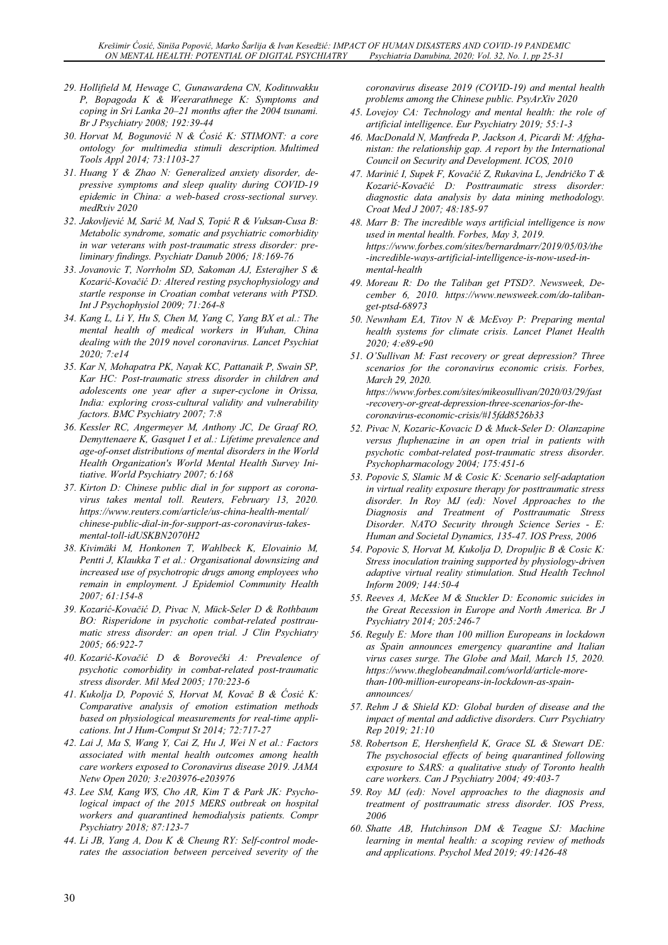- *29. Hollifield M, Hewage C, Gunawardena CN, Kodituwakku P, Bopagoda K & Weerarathnege K: Symptoms and coping in Sri Lanka 20–21 months after the 2004 tsunami. Br J Psychiatry 2008; 192:39-44*
- *30. Horvat M, Bogunoviü N & ûosiü K: STIMONT: a core ontology for multimedia stimuli description. Multimed Tools Appl 2014; 73:1103-27*
- *31. Huang Y & Zhao N: Generalized anxiety disorder, depressive symptoms and sleep quality during COVID-19 epidemic in China: a web-based cross-sectional survey. medRxiv 2020*
- *32. Jakovljeviü M, Sariü M, Nad S, Topiü R & Vuksan-Cusa B: Metabolic syndrome, somatic and psychiatric comorbidity in war veterans with post-traumatic stress disorder: preliminary findings. Psychiatr Danub 2006; 18:169-76*
- *33. Jovanovic T, Norrholm SD, Sakoman AJ, Esterajher S & Kozariü-Kovaþiü D: Altered resting psychophysiology and startle response in Croatian combat veterans with PTSD. Int J Psychophysiol 2009; 71:264-8*
- *34. Kang L, Li Y, Hu S, Chen M, Yang C, Yang BX et al.: The mental health of medical workers in Wuhan, China dealing with the 2019 novel coronavirus. Lancet Psychiat 2020; 7:e14*
- *35. Kar N, Mohapatra PK, Nayak KC, Pattanaik P, Swain SP, Kar HC: Post-traumatic stress disorder in children and adolescents one year after a super-cyclone in Orissa, India: exploring cross-cultural validity and vulnerability factors. BMC Psychiatry 2007; 7:8*
- *36. Kessler RC, Angermeyer M, Anthony JC, De Graaf RO, Demyttenaere K, Gasquet I et al.: Lifetime prevalence and age-of-onset distributions of mental disorders in the World Health Organization's World Mental Health Survey Initiative. World Psychiatry 2007; 6:168*
- *37. Kirton D: Chinese public dial in for support as coronavirus takes mental toll. Reuters, February 13, 2020. https://www.reuters.com/article/us-china-health-mental/ chinese-public-dial-in-for-support-as-coronavirus-takesmental-toll-idUSKBN2070H2*
- *38. Kivimäki M, Honkonen T, Wahlbeck K, Elovainio M, Pentti J, Klaukka T et al.: Organisational downsizing and increased use of psychotropic drugs among employees who remain in employment. J Epidemiol Community Health 2007; 61:154-8*
- *39. Kozariü-Kovaþiü D, Pivac N, Mück-Seler D & Rothbaum BO: Risperidone in psychotic combat-related posttraumatic stress disorder: an open trial. J Clin Psychiatry 2005; 66:922-7*
- *40. Kozariü-Kovaþiü D & Boroveþki A: Prevalence of psychotic comorbidity in combat-related post-traumatic stress disorder. Mil Med 2005; 170:223-6*
- *41. Kukolja D, Popoviü S, Horvat M, Kovaþ B & ûosiü K: Comparative analysis of emotion estimation methods based on physiological measurements for real-time applications. Int J Hum-Comput St 2014; 72:717-27*
- *42. Lai J, Ma S, Wang Y, Cai Z, Hu J, Wei N et al.: Factors associated with mental health outcomes among health care workers exposed to Coronavirus disease 2019. JAMA Netw Open 2020; 3:e203976-e203976*
- *43. Lee SM, Kang WS, Cho AR, Kim T & Park JK: Psychological impact of the 2015 MERS outbreak on hospital workers and quarantined hemodialysis patients. Compr Psychiatry 2018; 87:123-7*
- *44. Li JB, Yang A, Dou K & Cheung RY: Self-control moderates the association between perceived severity of the*

*coronavirus disease 2019 (COVID-19) and mental health problems among the Chinese public. PsyArXiv 2020* 

- *45. Lovejoy CA: Technology and mental health: the role of artificial intelligence. Eur Psychiatry 2019; 55:1-3*
- *46. MacDonald N, Manfreda P, Jackson A, Picardi M: Afghanistan: the relationship gap. A report by the International Council on Security and Development. ICOS, 2010*
- *47. Mariniü I, Supek F, Kovaþiü Z, Rukavina L, Jendriþko T & Kozariü-Kovaþiü D: Posttraumatic stress disorder: diagnostic data analysis by data mining methodology. Croat Med J 2007; 48:185-97*
- *48. Marr B: The incredible ways artificial intelligence is now used in mental health. Forbes, May 3, 2019. https://www.forbes.com/sites/bernardmarr/2019/05/03/the -incredible-ways-artificial-intelligence-is-now-used-inmental-health*
- *49. Moreau R: Do the Taliban get PTSD?. Newsweek, December 6, 2010. https://www.newsweek.com/do-talibanget-ptsd-68973*
- *50. Newnham EA, Titov N & McEvoy P: Preparing mental health systems for climate crisis. Lancet Planet Health 2020; 4:e89-e90*
- *51. O'Sullivan M: Fast recovery or great depression? Three scenarios for the coronavirus economic crisis. Forbes, March 29, 2020. https://www.forbes.com/sites/mikeosullivan/2020/03/29/fast -recovery-or-great-depression-three-scenarios-for-thecoronavirus-economic-crisis/#15fdd8526b33*
- *52. Pivac N, Kozaric-Kovacic D & Muck-Seler D: Olanzapine versus fluphenazine in an open trial in patients with psychotic combat-related post-traumatic stress disorder. Psychopharmacology 2004; 175:451-6*
- *53. Popovic S, Slamic M & Cosic K: Scenario self-adaptation in virtual reality exposure therapy for posttraumatic stress disorder. In Roy MJ (ed): Novel Approaches to the Diagnosis and Treatment of Posttraumatic Stress Disorder. NATO Security through Science Series - E: Human and Societal Dynamics, 135-47. IOS Press, 2006*
- *54. Popovic S, Horvat M, Kukolja D, Dropuljic B & Cosic K: Stress inoculation training supported by physiology-driven adaptive virtual reality stimulation. Stud Health Technol Inform 2009; 144:50-4*
- *55. Reeves A, McKee M & Stuckler D: Economic suicides in the Great Recession in Europe and North America. Br J Psychiatry 2014; 205:246-7*
- *56. Reguly E: More than 100 million Europeans in lockdown as Spain announces emergency quarantine and Italian virus cases surge. The Globe and Mail, March 15, 2020. https://www.theglobeandmail.com/world/article-morethan-100-million-europeans-in-lockdown-as-spainannounces/*
- *57. Rehm J & Shield KD: Global burden of disease and the impact of mental and addictive disorders. Curr Psychiatry Rep 2019; 21:10*
- *58. Robertson E, Hershenfield K, Grace SL & Stewart DE: The psychosocial effects of being quarantined following exposure to SARS: a qualitative study of Toronto health care workers. Can J Psychiatry 2004; 49:403-7*
- *59. Roy MJ (ed): Novel approaches to the diagnosis and treatment of posttraumatic stress disorder. IOS Press, 2006*
- *60. Shatte AB, Hutchinson DM & Teague SJ: Machine learning in mental health: a scoping review of methods and applications. Psychol Med 2019; 49:1426-48*